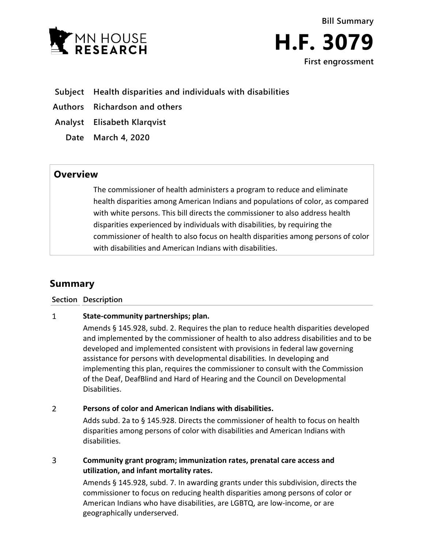



- **Subject Health disparities and individuals with disabilities**
- **Authors Richardson and others**
- **Analyst Elisabeth Klarqvist**
	- **Date March 4, 2020**

## **Overview**

The commissioner of health administers a program to reduce and eliminate health disparities among American Indians and populations of color, as compared with white persons. This bill directs the commissioner to also address health disparities experienced by individuals with disabilities, by requiring the commissioner of health to also focus on health disparities among persons of color with disabilities and American Indians with disabilities.

# **Summary**

**Section Description**

#### $\mathbf{1}$ **State-community partnerships; plan.**

Amends § 145.928, subd. 2. Requires the plan to reduce health disparities developed and implemented by the commissioner of health to also address disabilities and to be developed and implemented consistent with provisions in federal law governing assistance for persons with developmental disabilities. In developing and implementing this plan, requires the commissioner to consult with the Commission of the Deaf, DeafBlind and Hard of Hearing and the Council on Developmental Disabilities.

#### $\overline{2}$ **Persons of color and American Indians with disabilities.**

Adds subd. 2a to § 145.928. Directs the commissioner of health to focus on health disparities among persons of color with disabilities and American Indians with disabilities.

### 3 **Community grant program; immunization rates, prenatal care access and utilization, and infant mortality rates.**

Amends § 145.928, subd. 7. In awarding grants under this subdivision, directs the commissioner to focus on reducing health disparities among persons of color or American Indians who have disabilities, are LGBTQ, are low-income, or are geographically underserved.